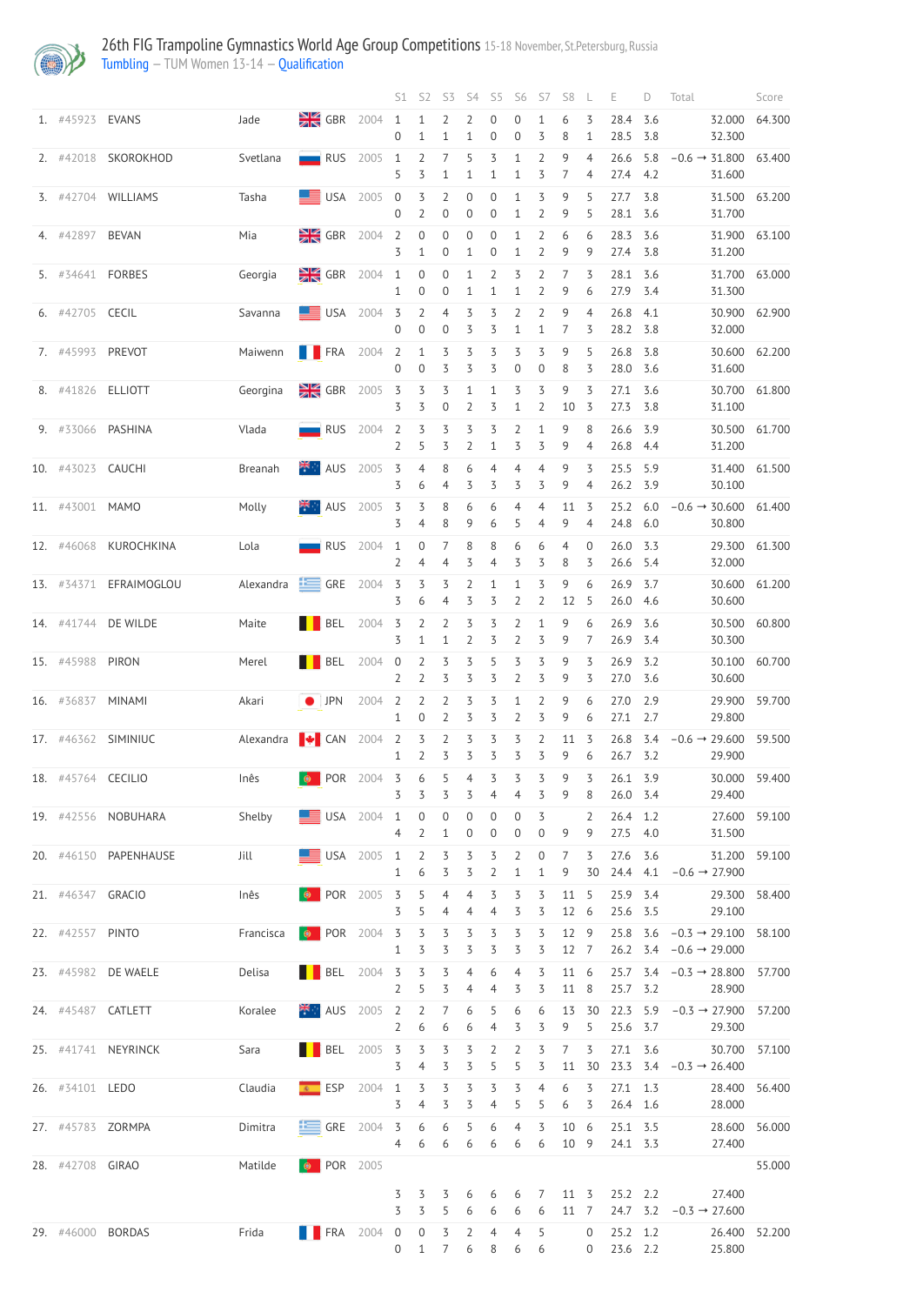

|                    |                        |                              |                                                                                                                                                                                                                                                                                                                                                                                                                         |        |                     | S1 S2 S3                              |                                     |                                    | S4 S5                                | S6                                 | S7                               | S8                   | L                                | Е                      | D          | Total                                                                      | Score  |
|--------------------|------------------------|------------------------------|-------------------------------------------------------------------------------------------------------------------------------------------------------------------------------------------------------------------------------------------------------------------------------------------------------------------------------------------------------------------------------------------------------------------------|--------|---------------------|---------------------------------------|-------------------------------------|------------------------------------|--------------------------------------|------------------------------------|----------------------------------|----------------------|----------------------------------|------------------------|------------|----------------------------------------------------------------------------|--------|
| 1. #45923 EVANS    |                        | Jade                         | GBR 2004 1 1 2 2                                                                                                                                                                                                                                                                                                                                                                                                        |        | $\overline{0}$      | $\mathbf{1}$                          | $\overline{1}$                      | $\mathbf{1}$                       | $\overline{0}$<br>$\boldsymbol{0}$   | $\overline{0}$<br>$\overline{0}$   | $\mathbf{1}$<br>3                | 6<br>8               | 3<br>1                           | 28.4<br>28.5 3.8       | 3.6        | 32.000<br>32.300                                                           | 64.300 |
| 2. #42018          | SKOROKHOD              | Svetlana                     | RUS                                                                                                                                                                                                                                                                                                                                                                                                                     | 2005 1 | 5                   | 3                                     | $2 \quad 7 \quad 5$<br>$\mathbf{1}$ | $\mathbf{1}$                       | $\overline{5}$<br>$\mathbf{1}$       | $1\,$<br>1                         | $\overline{2}$<br>3              | 9<br>7               | $\overline{4}$<br>4              | 26.6<br>27.4 4.2       | 5.8        | $-0.6 \rightarrow 31.800$<br>31.600                                        | 63.400 |
|                    | 3. #42704 WILLIAMS     | Tasha                        | $\mathbf{S}$ USA 2005 0                                                                                                                                                                                                                                                                                                                                                                                                 |        | $\overline{0}$      | 3 <sub>2</sub><br>$\overline{2}$      | $\overline{0}$                      | $\boldsymbol{0}$<br>$\overline{0}$ | $\boldsymbol{0}$<br>$\boldsymbol{0}$ | $\mathbf{1}$<br>1                  | 3<br>$\overline{2}$              | 9<br>9               | 5<br>5                           | 27.7 3.8<br>28.1 3.6   |            | 31.500<br>31.700                                                           | 63.200 |
| 4. #42897 BEVAN    |                        | Mia                          | $\frac{1}{2}$ GBR 2004 2                                                                                                                                                                                                                                                                                                                                                                                                |        | 3                   | $\overline{0}$<br>$\mathbf{1}$        | $\overline{0}$<br>$\overline{0}$    | $\sqrt{0}$<br>$\mathbf{1}$         | $\boldsymbol{0}$<br>$\boldsymbol{0}$ | $\mathbf{1}$<br>1                  | $\overline{2}$<br>$\overline{2}$ | 6<br>9               | 6<br>9                           | 28.3 3.6<br>27.4 3.8   |            | 31.900<br>31.200                                                           | 63.100 |
| 5. #34641 FORBES   |                        | Georgia                      | $\frac{1}{28}$ GBR 2004 1                                                                                                                                                                                                                                                                                                                                                                                               |        | 1                   | $\mathsf{O}\xspace$<br>$\overline{0}$ | $\overline{0}$<br>$\overline{0}$    | $\mathbf{1}$<br>$\mathbf{1}$       | $\overline{2}$<br>$\mathbf{1}$       | 3<br>$\mathbf{1}$                  | $\overline{2}$<br>$\overline{2}$ | 7<br>9               | 3<br>6                           | 28.1 3.6<br>27.9 3.4   |            | 31.700<br>31.300                                                           | 63.000 |
| 6. #42705 CECIL    |                        | Savanna                      | $\equiv$ USA 2004 3                                                                                                                                                                                                                                                                                                                                                                                                     |        | $\overline{0}$      | $2^{\circ}$<br>$\overline{0}$         | $\overline{4}$<br>$\overline{0}$    | $\overline{3}$<br>3                | 3<br>$\overline{\mathcal{S}}$        | $\overline{2}$<br>1                | $\overline{2}$<br>$\mathbf{1}$   | 9<br>$\overline{7}$  | $\overline{4}$<br>3              | 26.8<br>28.2 3.8       | 4.1        | 30.900<br>32.000                                                           | 62.900 |
| 7. #45993 PREVOT   |                        | Maiwenn                      | $\blacksquare$ FRA 2004 2                                                                                                                                                                                                                                                                                                                                                                                               |        | $\overline{0}$      | $\mathbf{1}$<br>$\overline{0}$        | $\overline{3}$<br>3                 | $\overline{5}$<br>3                | 3<br>3                               | 3<br>$\boldsymbol{0}$              | 3<br>$\boldsymbol{0}$            | 9<br>8               | 5<br>3                           | 26.8<br>28.0 3.6       | 3.8        | 30.600<br>31.600                                                           | 62.200 |
| 8. #41826 ELLIOTT  |                        | Georgina                     | $\frac{3}{2}$ GBR 2005 3                                                                                                                                                                                                                                                                                                                                                                                                |        | 3                   | $\overline{3}$<br>3                   | $\overline{3}$<br>$\boldsymbol{0}$  | $\mathbf 1$<br>$\overline{2}$      | $\mathbf{1}$<br>3                    | $\overline{5}$<br>$\mathbf{1}$     | 3<br>$\overline{2}$              | 9<br>10              | 3<br>3                           | 27.1<br>27.3 3.8       | 3.6        | 30.700<br>31.100                                                           | 61.800 |
|                    | 9. #33066 PASHINA      | Vlada                        | RUS                                                                                                                                                                                                                                                                                                                                                                                                                     | 2004 2 | $2^{\circ}$         | $\overline{3}$<br>5                   | $\overline{3}$<br>3                 | $\overline{5}$<br>$\overline{2}$   | 3<br>$\mathbf{1}$                    | $\overline{2}$<br>3                | $\mathbf{1}$<br>3                | 9<br>9               | 8<br>4                           | 26.6<br>26.8 4.4       | 3.9        | 30.500<br>31.200                                                           | 61.700 |
| 10. #43023 CAUCHI  |                        | Breanah                      | $\mathbb{H}$ AUS                                                                                                                                                                                                                                                                                                                                                                                                        | 2005 3 | 3                   | $\overline{4}$<br>6                   | $8\,$<br>4                          | 6<br>3                             | $\overline{4}$<br>3                  | $\overline{4}$<br>3                | $\overline{4}$<br>3              | 9<br>9               | 3<br>4                           | 25.5 5.9<br>26.2 3.9   |            | 31.400<br>30.100                                                           | 61.500 |
| 11. #43001 MAMO    |                        | Molly                        | $\mathbb{H}$ AUS                                                                                                                                                                                                                                                                                                                                                                                                        | 2005 3 | 3                   | $\overline{5}$<br>$\overline{4}$      | 8<br>8                              | 6<br>9                             | 6<br>6                               | 4<br>5                             | 4<br>$\overline{4}$              | 11<br>9              | 3<br>4                           | 25.2<br>24.8 6.0       | 6.0        | $-0.6 \rightarrow 30.600$<br>30.800                                        | 61.400 |
| 12. #46068         | KUROCHKINA             | Lola                         | <b>RUS</b> 2004 1                                                                                                                                                                                                                                                                                                                                                                                                       |        | $\mathbf{2}$        | $\overline{0}$<br>$\overline{4}$      | $\overline{7}$<br>4                 | 8<br>3                             | 8<br>4                               | 6<br>3                             | 6<br>3                           | 4<br>8               | $\boldsymbol{0}$<br>3            | 26.0 3.3<br>26.6 5.4   |            | 29.300<br>32.000                                                           | 61.300 |
|                    | 13. #34371 EFRAIMOGLOU | Alexandra GRE 2004 3 3 3 2 1 |                                                                                                                                                                                                                                                                                                                                                                                                                         |        |                     | 6                                     | 4                                   | 3                                  | 3                                    | $\mathbf{1}$<br>2                  | 3<br>$\overline{2}$              | 9<br>12              | 6<br>-5                          | 26.9 3.7<br>26.0 4.6   |            | 30.600 61.200<br>30.600                                                    |        |
|                    | 14. #41744 DE WILDE    | Maite                        | $\begin{array}{ c c c c c c } \hline \textbf{B} & \textbf{B} & \textbf{B} & \textbf{B} & \textbf{B} & \textbf{C} & \textbf{A} & \textbf{B} & \textbf{B} & \textbf{B} & \textbf{B} & \textbf{B} & \textbf{B} & \textbf{B} & \textbf{B} & \textbf{B} & \textbf{B} & \textbf{B} & \textbf{B} & \textbf{B} & \textbf{B} & \textbf{B} & \textbf{B} & \textbf{B} & \textbf{B} & \textbf{B} & \textbf{B} & \textbf{B} & \text$ |        | 3                   | $\overline{2}$<br>$\mathbf{1}$        | $\overline{2}$<br>$\mathbf{1}$      | $\overline{5}$<br>$\overline{2}$   | 3<br>$\overline{\mathcal{S}}$        | $\overline{2}$<br>2                | 1<br>3                           | 9<br>9               | 6<br>7                           | 26.9 3.6<br>26.9 3.4   |            | 30.500<br>30.300                                                           | 60.800 |
| 15. #45988         | PIRON                  | Merel                        | $\blacksquare$ BEL 2004 0                                                                                                                                                                                                                                                                                                                                                                                               |        | $\overline{2}$      | $\overline{2}$<br>$\overline{2}$      | $\overline{3}$<br>3                 | $\overline{5}$<br>3                | 5<br>$\overline{\mathcal{S}}$        | 3<br>$\overline{2}$                | 3<br>3                           | 9<br>9               | 3<br>3                           | 26.9 3.2<br>27.0 3.6   |            | 30.100<br>30.600                                                           | 60.700 |
| 16. #36837 MINAMI  |                        | Akari                        | $IPN$ 2004 2                                                                                                                                                                                                                                                                                                                                                                                                            |        | 1                   | $\overline{2}$<br>$\overline{0}$      | $\overline{2}$<br>$\overline{2}$    | $\overline{5}$<br>3                | 3<br>3                               | $\mathbf{1}$<br>2                  | $\overline{2}$<br>3              | 9<br>9               | 6<br>6                           | 27.0<br>$27.1$ 2.7     | 2.9        | 29.900<br>29.800                                                           | 59.700 |
|                    | 17. #46362 SIMINIUC    |                              | Alexandra $\blacktriangleright$ CAN 2004 2                                                                                                                                                                                                                                                                                                                                                                              |        | $\mathbf{1}$        | $\overline{3}$<br>$\overline{2}$      | $\overline{2}$<br>3                 | $\overline{5}$<br>$\overline{5}$   | $\overline{5}$<br>$\overline{5}$     | 3<br>$\overline{5}$                | $\overline{2}$<br>3              | 11<br>9              | $\overline{3}$<br>6              | 26.8<br>26.7 3.2       | 3.4        | $-0.6 \rightarrow 29.600$<br>29.900                                        | 59.500 |
| 18. #45764 CECILIO |                        | Inês                         | $\bullet$ POR 2004 3                                                                                                                                                                                                                                                                                                                                                                                                    |        | $\overline{5}$      | $6\,$<br>3                            | $5\overline{)}$<br>3                | $\overline{4}$<br>3                | $\overline{5}$<br>$\overline{4}$     | $\overline{3}$<br>4                | $\overline{3}$<br>3              | 9<br>9               | 3<br>8                           | 26.1 3.9<br>26.0 3.4   |            | 30.000<br>29.400                                                           | 59.400 |
|                    | 19. #42556 NOBUHARA    | Shelby                       | $\begin{array}{cccc}\n\hline\n\end{array}$ USA 2004 1                                                                                                                                                                                                                                                                                                                                                                   |        | $\overline{4}$      | $\boldsymbol{0}$<br>$\overline{2}$    | $\boldsymbol{0}$<br>$\mathbf{1}$    | $\boldsymbol{0}$<br>$\overline{0}$ | $\boldsymbol{0}$<br>$\overline{0}$   | $\boldsymbol{0}$<br>$\overline{0}$ | $\overline{5}$<br>$\overline{0}$ | 9                    | $\overline{2}$<br>9              | 26.4 1.2<br>27.5 4.0   |            | 27.600<br>31.500                                                           | 59.100 |
|                    | 20. #46150 PAPENHAUSE  | Jill                         | $\equiv$ USA 2005 1                                                                                                                                                                                                                                                                                                                                                                                                     |        | $\mathbf{1}$        | $\overline{2}$<br>6                   | $\overline{3}$<br>3                 | $\overline{5}$<br>$\overline{5}$   | $\overline{5}$<br>$\overline{2}$     | $\overline{2}$<br>$\mathbf{1}$     | $\boldsymbol{0}$<br>$\mathbf 1$  | 7<br>9               | 3<br>30                          | 27.6 3.6<br>24.4 4.1   |            | 31.200<br>$-0.6 \rightarrow 27.900$                                        | 59.100 |
| 21. #46347 GRACIO  |                        | Inês                         | $\bullet$ POR 2005 3                                                                                                                                                                                                                                                                                                                                                                                                    |        | 3                   | 5<br>5                                | $\overline{4}$<br>4                 | $\overline{4}$<br>$\overline{4}$   | 3<br>$\overline{4}$                  | 3<br>3                             | 3<br>3                           | 11<br>12             | 5<br>-6                          | 25.9 3.4<br>25.6 3.5   |            | 29.300<br>29.100                                                           | 58.400 |
| 22. #42557 PINTO   |                        | Francisca                    | $\bullet$ POR 2004 3                                                                                                                                                                                                                                                                                                                                                                                                    |        | $\mathbf{1}$        | $\overline{3}$<br>3                   | $\overline{3}$<br>3                 | $\overline{5}$<br>3                | $\overline{5}$<br>3                  | $\overline{5}$<br>3                | $\overline{3}$<br>3              | 12 9<br>12 7         |                                  |                        |            | $25.8$ 3.6 $-0.3 \rightarrow 29.100$<br>26.2 $3.4 -0.6 \rightarrow 29.000$ | 58.100 |
|                    | 23. #45982 DE WAELE    | Delisa                       | $\begin{array}{ c c c c c }\n\hline\n\textbf{B}} & \textbf{BEL} & 2004 & \textbf{3} \\ \hline\n\end{array}$                                                                                                                                                                                                                                                                                                             |        | $\overline{2}$      | $\overline{3}$<br>5                   | $\overline{3}$<br>3                 | $\overline{4}$<br>4                | 6<br>$\overline{4}$                  | $\overline{4}$<br>3                | 3<br>3                           | 11 6<br>11           | 8                                | 25.7 3.2               |            | 25.7 3.4 $-0.3 \rightarrow 28.800$<br>28.900                               | 57.700 |
|                    | 24. #45487 CATLETT     | Koralee                      | $\frac{14}{10}$ AUS 2005 2                                                                                                                                                                                                                                                                                                                                                                                              |        | $\overline{2}$      | $\overline{2}$<br>6                   | 7<br>6                              | 6<br>6                             | 5<br>4                               | 6<br>3                             | 6<br>3                           | 13<br>9              | 30<br>5                          | 22.3<br>25.6           | 5.9<br>3.7 | $-0.3 \rightarrow 27.900$<br>29.300                                        | 57.200 |
|                    | 25. #41741 NEYRINCK    | Sara                         | <b>TELESCOPE</b>                                                                                                                                                                                                                                                                                                                                                                                                        | 2005 3 | 3                   | $\overline{3}$<br>$\overline{4}$      | $\overline{3}$<br>3                 | $\overline{5}$<br>3                | $\overline{2}$<br>5                  | 2<br>5                             | 3<br>3                           | 7                    | 3<br>11 30                       | 27.1                   | 3.6        | 30.700<br>23.3 3.4 $-0.3 \rightarrow 26.400$                               | 57.100 |
| 26. #34101 LEDO    |                        | Claudia                      | ESP<br>$\mathcal{R}$                                                                                                                                                                                                                                                                                                                                                                                                    | 2004   | $\mathbf{1}$<br>3   | 3<br>4                                | 3<br>3                              | 3<br>3                             | 3<br>$\overline{4}$                  | 3<br>5                             | 4<br>5                           | 6<br>6               | 3<br>3                           | 27.1 1.3<br>26.4 1.6   |            | 28.400<br>28.000                                                           | 56.400 |
| 27. #45783 ZORMPA  |                        | Dimitra                      | $\equiv$ GRE                                                                                                                                                                                                                                                                                                                                                                                                            | 2004   | $\overline{5}$<br>4 | 6<br>6                                | 6<br>6                              | 5<br>6                             | 6<br>6                               | 4<br>6                             | 3<br>6                           | 10<br>10 9           | 6                                | 25.1 3.5<br>24.1 3.3   |            | 28.600<br>27.400                                                           | 56.000 |
| 28. #42708 GIRAO   |                        | Matilde                      | <b>POR</b> 2005                                                                                                                                                                                                                                                                                                                                                                                                         |        |                     |                                       |                                     |                                    |                                      |                                    |                                  |                      |                                  |                        |            |                                                                            | 55.000 |
|                    |                        |                              |                                                                                                                                                                                                                                                                                                                                                                                                                         |        | 3<br>3              | 3<br>3                                | 3<br>5                              | 6<br>6                             | 6<br>6                               | 6<br>6                             | 7<br>6                           | $11 \quad 3$<br>11 7 |                                  | $25.2$ 2.2<br>24.7 3.2 |            | 27.400<br>$-0.3 \rightarrow 27.600$                                        |        |
| 29. #46000 BORDAS  |                        | Frida                        | $\blacksquare$ FRA 2004 0                                                                                                                                                                                                                                                                                                                                                                                               |        | 0                   | $\overline{0}$<br>$\mathbf{1}$        | 3<br>7                              | $\overline{2}$<br>6                | $\overline{4}$<br>8                  | 4<br>6                             | 5<br>6                           |                      | $\overline{0}$<br>$\overline{0}$ | 25.2 1.2<br>23.6 2.2   |            | 26.400<br>25.800                                                           | 52.200 |